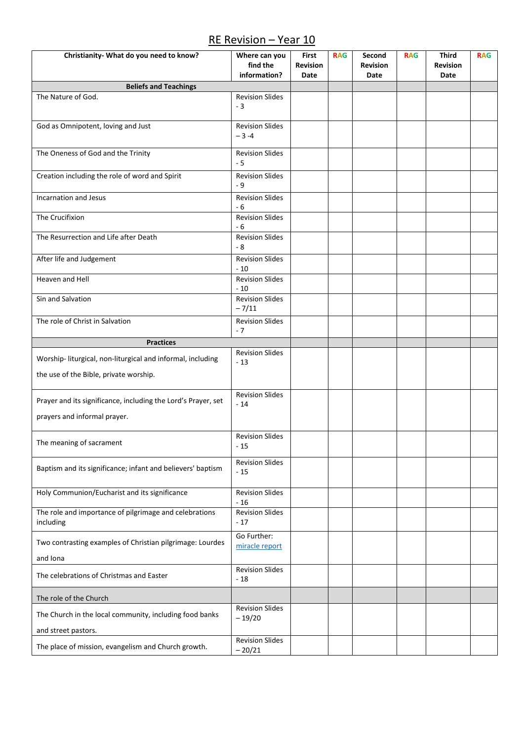## RE Revision – Year 10

| Christianity- What do you need to know?                                    | Where can you<br>find the<br>information? | First<br>Revision<br>Date | <b>RAG</b> | Second<br><b>Revision</b><br>Date | <b>RAG</b> | <b>Third</b><br><b>Revision</b><br>Date | <b>RAG</b> |
|----------------------------------------------------------------------------|-------------------------------------------|---------------------------|------------|-----------------------------------|------------|-----------------------------------------|------------|
| <b>Beliefs and Teachings</b>                                               |                                           |                           |            |                                   |            |                                         |            |
| The Nature of God.                                                         | <b>Revision Slides</b><br>$-3$            |                           |            |                                   |            |                                         |            |
| God as Omnipotent, loving and Just                                         | <b>Revision Slides</b><br>$-3-4$          |                           |            |                                   |            |                                         |            |
| The Oneness of God and the Trinity                                         | <b>Revision Slides</b><br>$-5$            |                           |            |                                   |            |                                         |            |
| Creation including the role of word and Spirit                             | <b>Revision Slides</b><br>- 9             |                           |            |                                   |            |                                         |            |
| Incarnation and Jesus                                                      | <b>Revision Slides</b><br>$-6$            |                           |            |                                   |            |                                         |            |
| The Crucifixion                                                            | <b>Revision Slides</b><br>- 6             |                           |            |                                   |            |                                         |            |
| The Resurrection and Life after Death                                      | <b>Revision Slides</b><br>$-8$            |                           |            |                                   |            |                                         |            |
| After life and Judgement                                                   | <b>Revision Slides</b><br>$-10$           |                           |            |                                   |            |                                         |            |
| Heaven and Hell                                                            | <b>Revision Slides</b><br>$-10$           |                           |            |                                   |            |                                         |            |
| Sin and Salvation                                                          | <b>Revision Slides</b><br>$-7/11$         |                           |            |                                   |            |                                         |            |
| The role of Christ in Salvation                                            | <b>Revision Slides</b><br>$-7$            |                           |            |                                   |            |                                         |            |
| Practices                                                                  |                                           |                           |            |                                   |            |                                         |            |
| Worship- liturgical, non-liturgical and informal, including                | <b>Revision Slides</b><br>$-13$           |                           |            |                                   |            |                                         |            |
| the use of the Bible, private worship.                                     |                                           |                           |            |                                   |            |                                         |            |
| Prayer and its significance, including the Lord's Prayer, set              | <b>Revision Slides</b><br>$-14$           |                           |            |                                   |            |                                         |            |
| prayers and informal prayer.                                               |                                           |                           |            |                                   |            |                                         |            |
| The meaning of sacrament                                                   | <b>Revision Slides</b><br>$-15$           |                           |            |                                   |            |                                         |            |
| Baptism and its significance; infant and believers' baptism                | <b>Revision Slides</b><br>$-15$           |                           |            |                                   |            |                                         |            |
| Holy Communion/Eucharist and its significance                              | <b>Revision Slides</b><br>$-16$           |                           |            |                                   |            |                                         |            |
| The role and importance of pilgrimage and celebrations<br>including        | <b>Revision Slides</b><br>$-17$           |                           |            |                                   |            |                                         |            |
| Two contrasting examples of Christian pilgrimage: Lourdes<br>and Iona      | Go Further:<br>miracle report             |                           |            |                                   |            |                                         |            |
| The celebrations of Christmas and Easter                                   | <b>Revision Slides</b><br>$-18$           |                           |            |                                   |            |                                         |            |
| The role of the Church                                                     |                                           |                           |            |                                   |            |                                         |            |
| The Church in the local community, including food banks                    | <b>Revision Slides</b><br>$-19/20$        |                           |            |                                   |            |                                         |            |
| and street pastors.<br>The place of mission, evangelism and Church growth. | <b>Revision Slides</b><br>$-20/21$        |                           |            |                                   |            |                                         |            |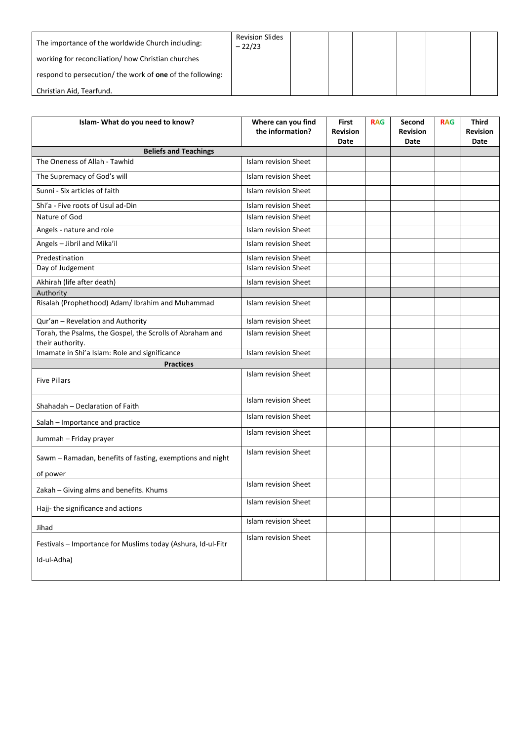| The importance of the worldwide Church including:                | <b>Revision Slides</b><br>$-22/23$ |  |  |  |
|------------------------------------------------------------------|------------------------------------|--|--|--|
| working for reconciliation/how Christian churches                |                                    |  |  |  |
| respond to persecution/ the work of <b>one</b> of the following: |                                    |  |  |  |
| Christian Aid, Tearfund.                                         |                                    |  |  |  |

| Islam- What do you need to know?                                              | Where can you find<br>the information? | First<br><b>Revision</b><br>Date | <b>RAG</b> | Second<br><b>Revision</b><br>Date | <b>RAG</b> | <b>Third</b><br><b>Revision</b><br>Date |
|-------------------------------------------------------------------------------|----------------------------------------|----------------------------------|------------|-----------------------------------|------------|-----------------------------------------|
| <b>Beliefs and Teachings</b>                                                  |                                        |                                  |            |                                   |            |                                         |
| The Oneness of Allah - Tawhid                                                 | <b>Islam revision Sheet</b>            |                                  |            |                                   |            |                                         |
| The Supremacy of God's will                                                   | Islam revision Sheet                   |                                  |            |                                   |            |                                         |
| Sunni - Six articles of faith                                                 | <b>Islam revision Sheet</b>            |                                  |            |                                   |            |                                         |
| Shi'a - Five roots of Usul ad-Din                                             | <b>Islam revision Sheet</b>            |                                  |            |                                   |            |                                         |
| Nature of God                                                                 | <b>Islam revision Sheet</b>            |                                  |            |                                   |            |                                         |
| Angels - nature and role                                                      | <b>Islam revision Sheet</b>            |                                  |            |                                   |            |                                         |
| Angels - Jibril and Mika'il                                                   | <b>Islam revision Sheet</b>            |                                  |            |                                   |            |                                         |
| Predestination                                                                | Islam revision Sheet                   |                                  |            |                                   |            |                                         |
| Day of Judgement                                                              | <b>Islam revision Sheet</b>            |                                  |            |                                   |            |                                         |
| Akhirah (life after death)                                                    | <b>Islam revision Sheet</b>            |                                  |            |                                   |            |                                         |
| Authority                                                                     |                                        |                                  |            |                                   |            |                                         |
| Risalah (Prophethood) Adam/ Ibrahim and Muhammad                              | <b>Islam revision Sheet</b>            |                                  |            |                                   |            |                                         |
| Qur'an - Revelation and Authority                                             | <b>Islam revision Sheet</b>            |                                  |            |                                   |            |                                         |
| Torah, the Psalms, the Gospel, the Scrolls of Abraham and<br>their authority. | <b>Islam revision Sheet</b>            |                                  |            |                                   |            |                                         |
| Imamate in Shi'a Islam: Role and significance                                 | <b>Islam revision Sheet</b>            |                                  |            |                                   |            |                                         |
| <b>Practices</b>                                                              |                                        |                                  |            |                                   |            |                                         |
| <b>Five Pillars</b>                                                           | <b>Islam revision Sheet</b>            |                                  |            |                                   |            |                                         |
| Shahadah - Declaration of Faith                                               | <b>Islam revision Sheet</b>            |                                  |            |                                   |            |                                         |
| Salah - Importance and practice                                               | <b>Islam revision Sheet</b>            |                                  |            |                                   |            |                                         |
| Jummah - Friday prayer                                                        | <b>Islam revision Sheet</b>            |                                  |            |                                   |            |                                         |
| Sawm - Ramadan, benefits of fasting, exemptions and night                     | <b>Islam revision Sheet</b>            |                                  |            |                                   |            |                                         |
| of power                                                                      |                                        |                                  |            |                                   |            |                                         |
| Zakah - Giving alms and benefits. Khums                                       | <b>Islam revision Sheet</b>            |                                  |            |                                   |            |                                         |
| Hajj- the significance and actions                                            | <b>Islam revision Sheet</b>            |                                  |            |                                   |            |                                         |
| Jihad                                                                         | Islam revision Sheet                   |                                  |            |                                   |            |                                         |
| Festivals - Importance for Muslims today (Ashura, Id-ul-Fitr<br>Id-ul-Adha)   | Islam revision Sheet                   |                                  |            |                                   |            |                                         |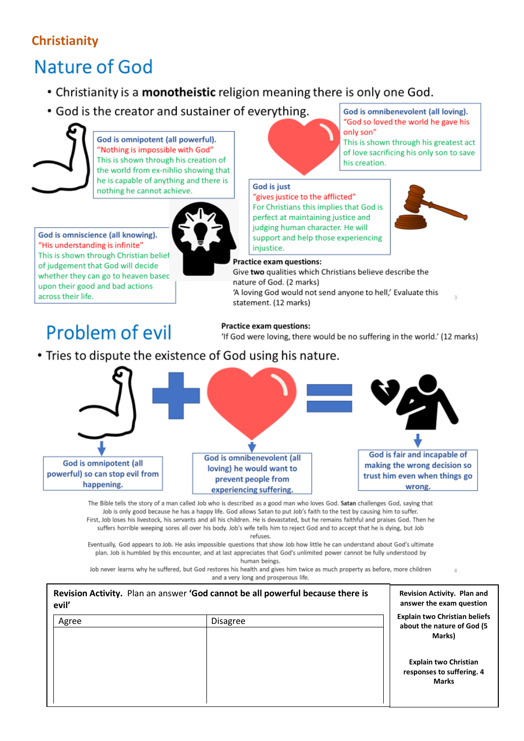## **Christianity**

# Nature of God

- Christianity is a monotheistic religion meaning there is only one God.
- God is the creator and sustainer of everything.

God is omnipotent (all powerful). "Nothing is impossible with God" This is shown through his creation of the world from ex-nihlio showing that he is capable of anything and there is nothing he cannot achieve.



God is omniscience (all knowing). "His understanding is infinite" This is shown through Christian belief of judgement that God will decide whether they can go to heaven basec upon their good and bad actions across their life.

# Problem of evil

statement. (12 marks)

God is just

**Practice exam questions:** 

nature of God. (2 marks)

**Practice exam questions:** 

'If God were loving, there would be no suffering in the world.' (12 marks)

• Tries to dispute the existence of God using his nature.



The Bible tells the story of a man called Job who is described as a good man who loves God. Satan challenges God, saying that Job is only good because he has a happy life. God allows Satan to put Job's faith to the test by causing him to suffer. First, Job loses his livestock, his servants and all his children. He is devastated, but he remains faithful and praises God. Then he suffers horrible weeping sores all over his body. Job's wife tells him to reject God and to accept that he is dying, but Job refuses.

Eventually, God appears to Job. He asks impossible questions that show Job how little he can understand about God's ultimate plan. Job is humbled by this encounter, and at last appreciates that God's unlimited power cannot be fully understood by human beings.

Job never learns why he suffered, but God restores his health and gives him twice as much property as before, more children and a very long and prosperous life.

| evil' | Revision Activity. Plan an answer 'God cannot be all powerful because there is | <b>Revision Activity. Plan and</b><br>answer the exam question               |
|-------|--------------------------------------------------------------------------------|------------------------------------------------------------------------------|
| Agree | <b>Disagree</b>                                                                | <b>Explain two Christian beliefs</b><br>about the nature of God (5<br>Marks) |
|       |                                                                                | <b>Explain two Christian</b><br>responses to suffering. 4<br><b>Marks</b>    |

"God so loved the world he gave his only son" This is shown through his greatest act of love sacrificing his only son to save

God is omnibenevolent (all loving).

his creation. "gives justice to the afflicted"

For Christians this implies that God is perfect at maintaining justice and judging human character. He will support and help those experiencing injustice.

Give two qualities which Christians believe describe the

'A loving God would not send anyone to hell,' Evaluate this

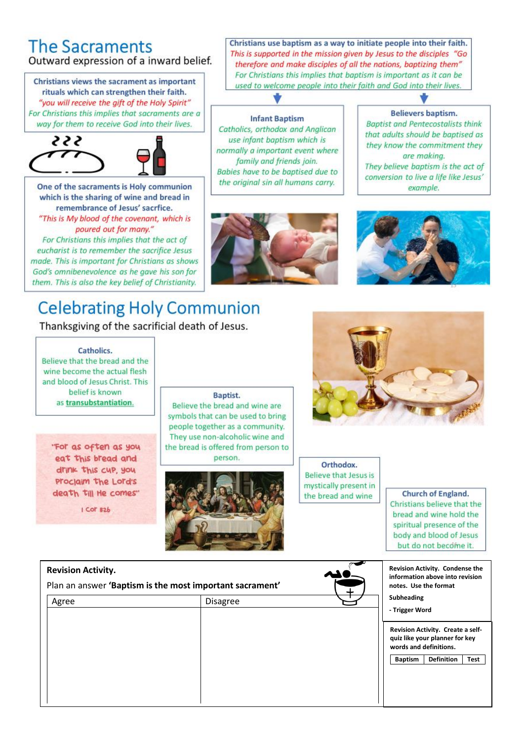### **The Sacraments** Outward expression of a inward belief.

Christians views the sacrament as important rituals which can strengthen their faith. "you will receive the gift of the Holy Spirit" For Christians this implies that sacraments are a way for them to receive God into their lives.





One of the sacraments is Holy communion which is the sharing of wine and bread in remembrance of Jesus' sacrfice. "This is My blood of the covenant, which is poured out for many." For Christians this implies that the act of eucharist is to remember the sacrifice Jesus made. This is important for Christians as shows God's omnibenevolence as he gave his son for them. This is also the key belief of Christianity.



**Infant Baptism** 

Catholics, orthodox and Anglican

use infant baptism which is

normally a important event where

family and friends join.

Babies have to be baptised due to

the original sin all humans carry.

## are makina. They believe baptism is the act of conversion to live a life like Jesus' example.

**Believers baptism.** 

**Baptist and Pentecostalists think** 

that adults should be baptised as

they know the commitment they



## **Celebrating Holy Communion**

Thanksgiving of the sacrificial death of Jesus.



Believe that the bread and the wine become the actual flesh and blood of Jesus Christ. This belief is known as transubstantiation.

"For as often as you eat this bread and drink this cup, you proclaim the Lord's death till He comes"

 $1$  Cor  $12b$ 

#### Baptist.

Believe the bread and wine are symbols that can be used to bring people together as a community. They use non-alcoholic wine and the bread is offered from person to person.





Orthodox. Believe that Jesus is mystically present in the bread and wine

Christians use baptism as a way to initiate people into their faith. This is supported in the mission given by Jesus to the disciples "Go

therefore and make disciples of all the nations, baptizing them" For Christians this implies that baptism is important as it can be

used to welcome people into their faith and God into their lives.

Church of England. Christians believe that the bread and wine hold the spiritual presence of the body and blood of Jesus but do not become it.

Revision Activity. Condense the

information above into revision

notes. Use the format

#### **Revision Activity.**

Plan an answer 'Baptism is the most important sacrament'

| Agree | Disagree | Subheading<br>- Trigger Word                                                                                    |                   |      |
|-------|----------|-----------------------------------------------------------------------------------------------------------------|-------------------|------|
|       |          | Revision Activity. Create a self-<br>quiz like your planner for key<br>words and definitions.<br><b>Baptism</b> | <b>Definition</b> | Test |